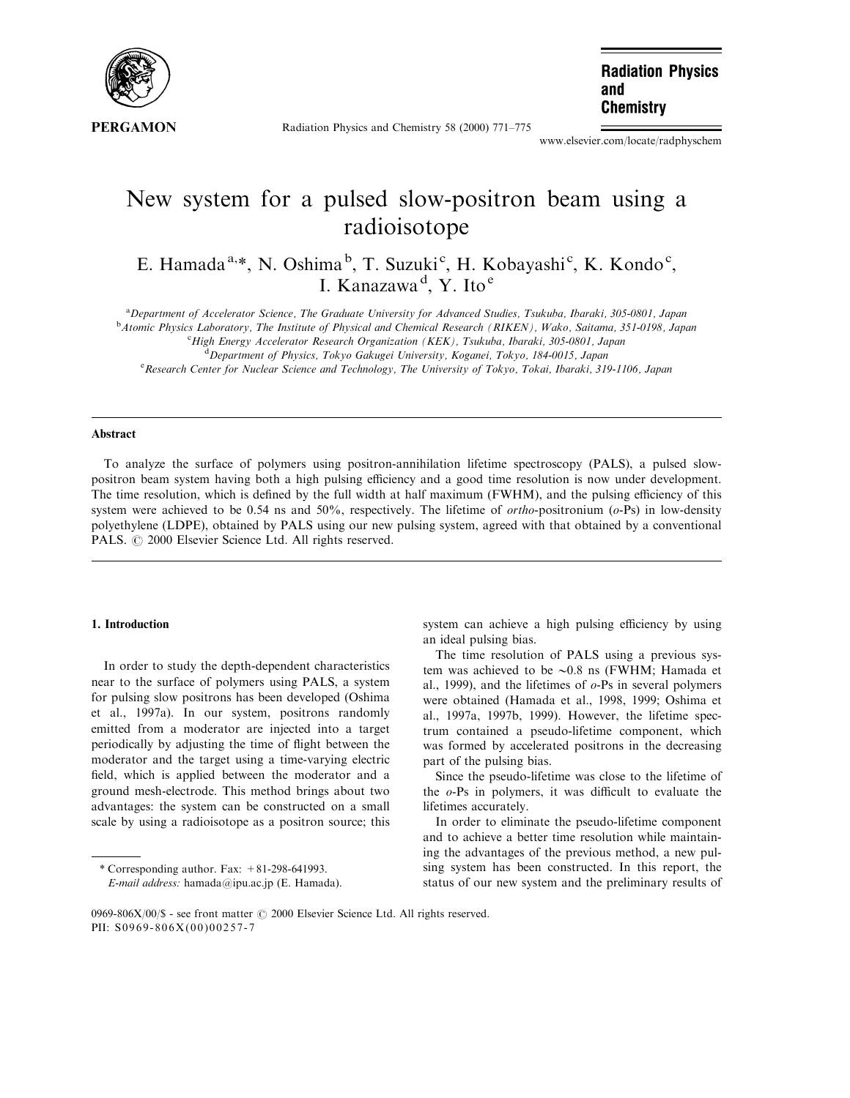

Radiation Physics and Chemistry 58 (2000) 771-775

**Radiation Physics** and **Chemistry** 

www.elsevier.com/locate/radphyschem

# New system for a pulsed slow-positron beam using a radioisotope

E. Hamada<sup>a,\*</sup>, N. Oshima<sup>b</sup>, T. Suzuki<sup>c</sup>, H. Kobayashi<sup>c</sup>, K. Kondo<sup>c</sup>, I. Kanazawa<sup>d</sup>, Y. Ito<sup>e</sup>

a Department of Accelerator Science, The Graduate University for Advanced Studies, Tsukuba, Ibaraki, 305-0801, Japan

<sup>b</sup> Atomic Physics Laboratory, The Institute of Physical and Chemical Research (RIKEN), Wako, Saitama, 351-0198, Japan care and Chemical Research (RIKEN), Wako, Saitama, 351-0198, Japan

<sup>c</sup>High Energy Accelerator Research Organization (KEK), Tsukuba, Ibaraki, 305-0801, Japan

 $^4$ Department of Physics, Tokyo Gakugei University, Koganei, Tokyo, 184-0015, Japan

<sup>e</sup> Research Center for Nuclear Science and Technology, The University of Tokyo, Tokai, Ibaraki, 319-1106, Japan

# Abstract

To analyze the surface of polymers using positron-annihilation lifetime spectroscopy (PALS), a pulsed slowpositron beam system having both a high pulsing efficiency and a good time resolution is now under development. The time resolution, which is defined by the full width at half maximum (FWHM), and the pulsing efficiency of this system were achieved to be 0.54 ns and 50%, respectively. The lifetime of  $ortho$ -positronium ( $o$ -Ps) in low-density polyethylene (LDPE), obtained by PALS using our new pulsing system, agreed with that obtained by a conventional PALS.  $\odot$  2000 Elsevier Science Ltd. All rights reserved.

#### 1. Introduction

In order to study the depth-dependent characteristics near to the surface of polymers using PALS, a system for pulsing slow positrons has been developed (Oshima et al., 1997a). In our system, positrons randomly emitted from a moderator are injected into a target periodically by adjusting the time of flight between the moderator and the target using a time-varying electric field, which is applied between the moderator and a ground mesh-electrode. This method brings about two advantages: the system can be constructed on a small scale by using a radioisotope as a positron source; this

\* Corresponding author. Fax: +81-298-641993. E-mail address: hamada@ipu.ac.jp (E. Hamada).

system can achieve a high pulsing efficiency by using an ideal pulsing bias.

The time resolution of PALS using a previous system was achieved to be  $\sim 0.8$  ns (FWHM; Hamada et al., 1999), and the lifetimes of  $o$ -Ps in several polymers were obtained (Hamada et al., 1998, 1999; Oshima et al., 1997a, 1997b, 1999). However, the lifetime spectrum contained a pseudo-lifetime component, which was formed by accelerated positrons in the decreasing part of the pulsing bias.

Since the pseudo-lifetime was close to the lifetime of the  $o$ -Ps in polymers, it was difficult to evaluate the lifetimes accurately.

In order to eliminate the pseudo-lifetime component and to achieve a better time resolution while maintaining the advantages of the previous method, a new pulsing system has been constructed. In this report, the status of our new system and the preliminary results of

<sup>0969-806</sup>X/00/\$ - see front matter © 2000 Elsevier Science Ltd. All rights reserved. PII: S0969-806X(00)00257-7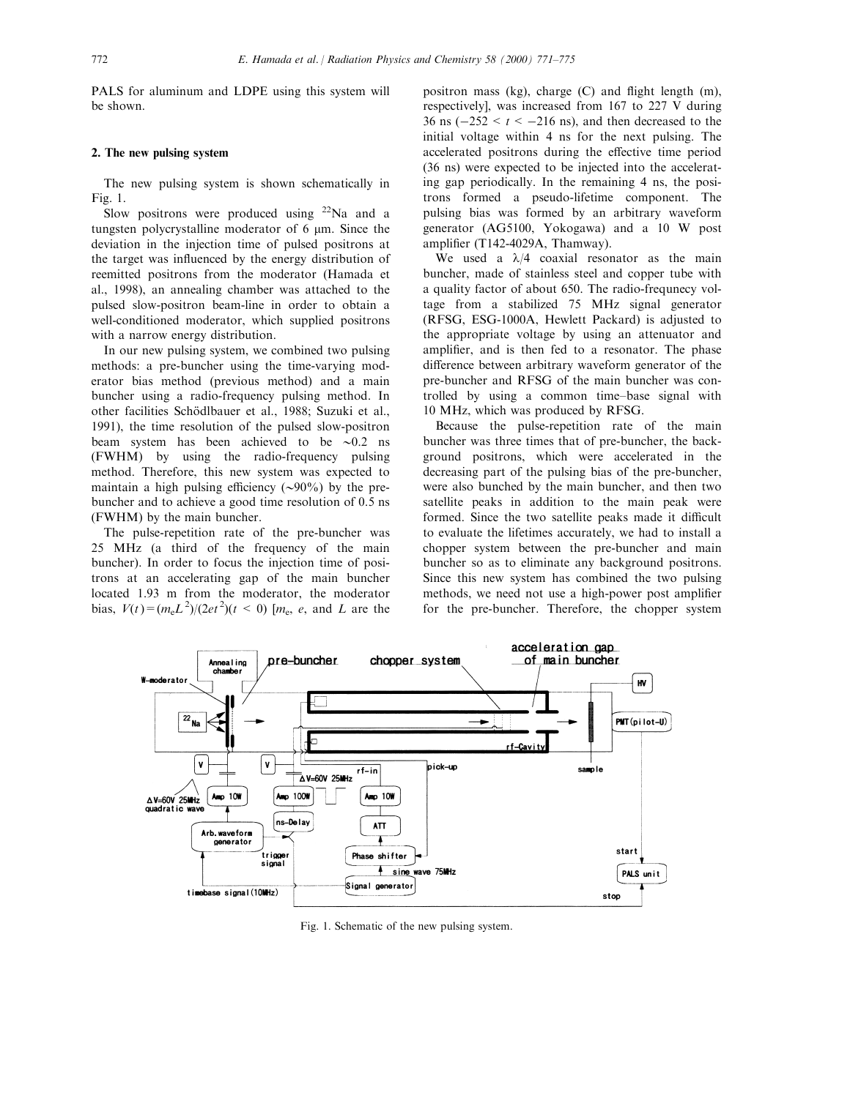PALS for aluminum and LDPE using this system will be shown.

## 2. The new pulsing system

The new pulsing system is shown schematically in Fig. 1.

Slow positrons were produced using  $22$ Na and a tungsten polycrystalline moderator of  $6 \mu m$ . Since the deviation in the injection time of pulsed positrons at the target was influenced by the energy distribution of reemitted positrons from the moderator (Hamada et al., 1998), an annealing chamber was attached to the pulsed slow-positron beam-line in order to obtain a well-conditioned moderator, which supplied positrons with a narrow energy distribution.

In our new pulsing system, we combined two pulsing methods: a pre-buncher using the time-varying moderator bias method (previous method) and a main buncher using a radio-frequency pulsing method. In other facilities Schödlbauer et al., 1988; Suzuki et al., 1991), the time resolution of the pulsed slow-positron beam system has been achieved to be  $\sim 0.2$  ns (FWHM) by using the radio-frequency pulsing method. Therefore, this new system was expected to maintain a high pulsing efficiency  $(\sim 90\%)$  by the prebuncher and to achieve a good time resolution of 0.5 ns (FWHM) by the main buncher.

The pulse-repetition rate of the pre-buncher was 25 MHz (a third of the frequency of the main buncher). In order to focus the injection time of positrons at an accelerating gap of the main buncher located 1.93 m from the moderator, the moderator bias,  $V(t) = (m_e L^2)/(2et^2)(t < 0)$  [m<sub>e</sub>, e, and L are the

positron mass (kg), charge  $(C)$  and flight length  $(m)$ , respectively], was increased from 167 to 227 V during 36 ns  $(-252 < t < -216$  ns), and then decreased to the initial voltage within 4 ns for the next pulsing. The accelerated positrons during the effective time period (36 ns) were expected to be injected into the accelerating gap periodically. In the remaining 4 ns, the positrons formed a pseudo-lifetime component. The pulsing bias was formed by an arbitrary waveform generator (AG5100, Yokogawa) and a 10 W post amplifier (T142-4029A, Thamway).

We used a  $\lambda/4$  coaxial resonator as the main buncher, made of stainless steel and copper tube with a quality factor of about 650. The radio-frequnecy voltage from a stabilized 75 MHz signal generator (RFSG, ESG-1000A, Hewlett Packard) is adjusted to the appropriate voltage by using an attenuator and amplifier, and is then fed to a resonator. The phase difference between arbitrary waveform generator of the pre-buncher and RFSG of the main buncher was controlled by using a common time-base signal with 10 MHz, which was produced by RFSG.

Because the pulse-repetition rate of the main buncher was three times that of pre-buncher, the background positrons, which were accelerated in the decreasing part of the pulsing bias of the pre-buncher, were also bunched by the main buncher, and then two satellite peaks in addition to the main peak were formed. Since the two satellite peaks made it difficult to evaluate the lifetimes accurately, we had to install a chopper system between the pre-buncher and main buncher so as to eliminate any background positrons. Since this new system has combined the two pulsing methods, we need not use a high-power post amplifier for the pre-buncher. Therefore, the chopper system



Fig. 1. Schematic of the new pulsing system.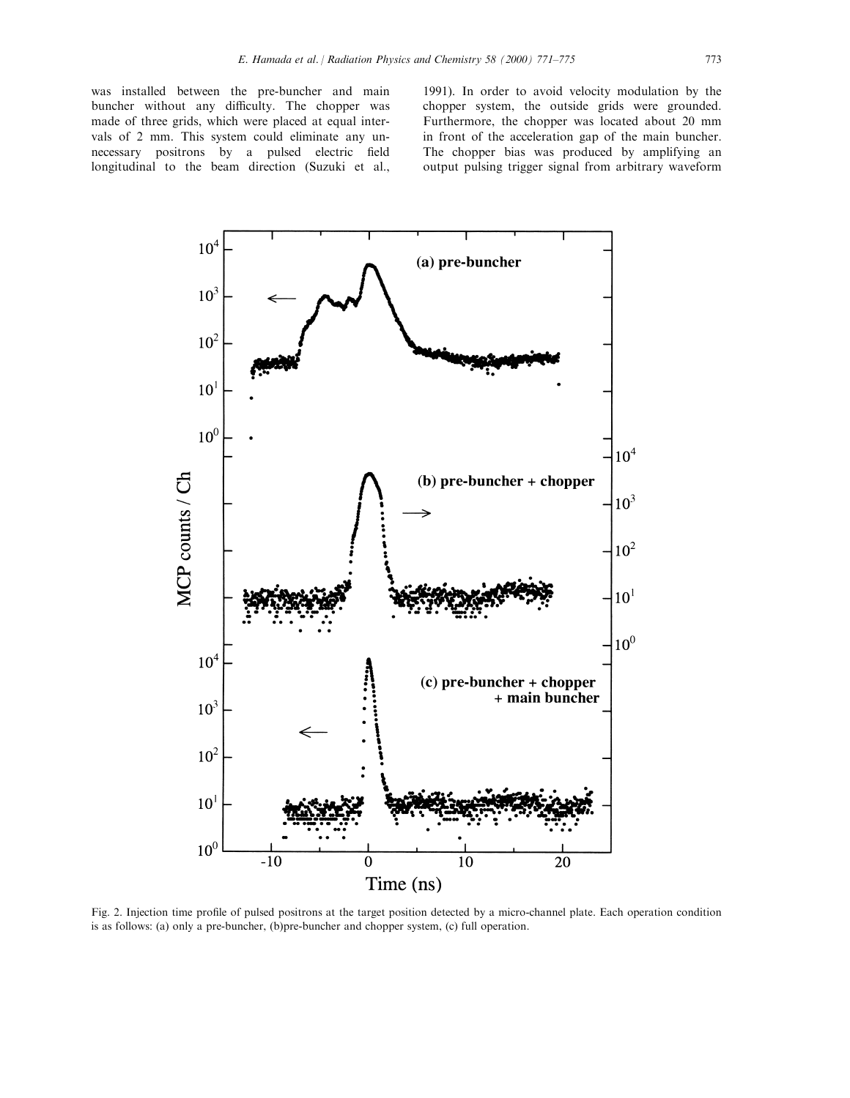was installed between the pre-buncher and main buncher without any difficulty. The chopper was made of three grids, which were placed at equal intervals of 2 mm. This system could eliminate any unnecessary positrons by a pulsed electric field longitudinal to the beam direction (Suzuki et al.,

1991). In order to avoid velocity modulation by the chopper system, the outside grids were grounded. Furthermore, the chopper was located about 20 mm in front of the acceleration gap of the main buncher. The chopper bias was produced by amplifying an output pulsing trigger signal from arbitrary waveform



Fig. 2. Injection time profile of pulsed positrons at the target position detected by a micro-channel plate. Each operation condition is as follows: (a) only a pre-buncher, (b)pre-buncher and chopper system, (c) full operation.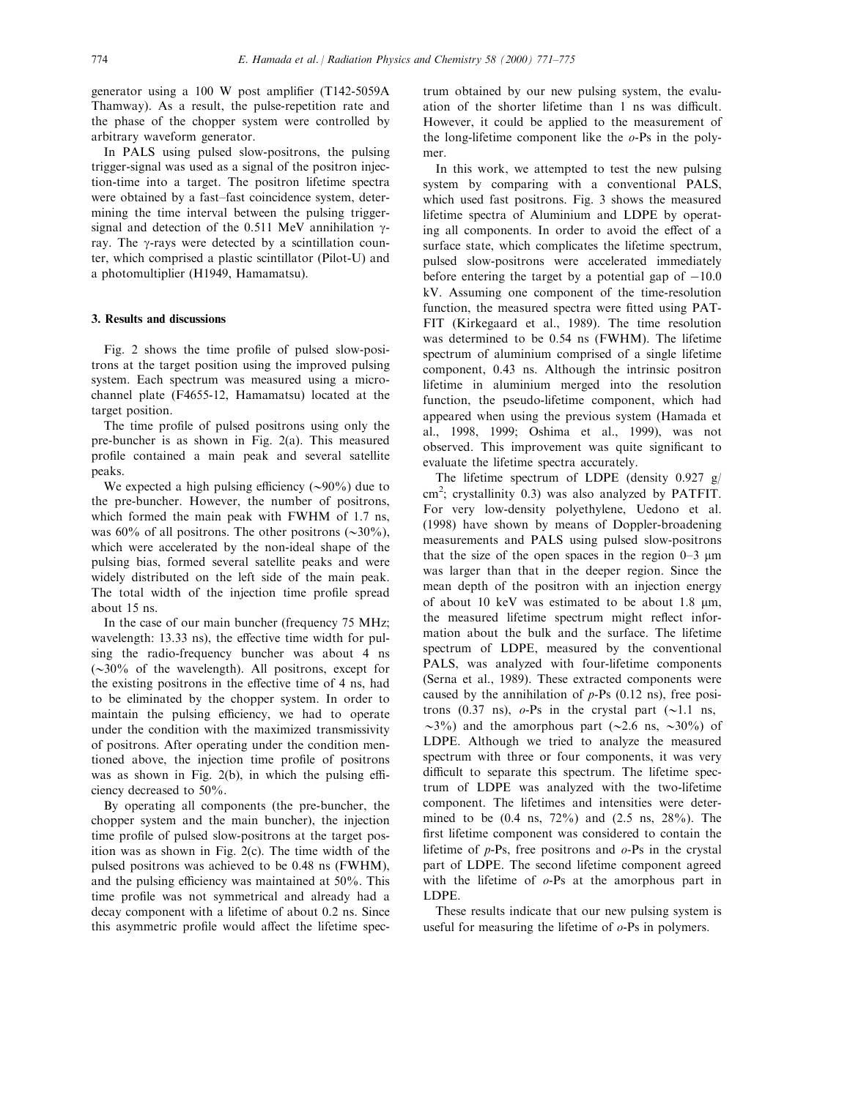generator using a 100 W post amplifier  $(T142-5059A)$ Thamway). As a result, the pulse-repetition rate and the phase of the chopper system were controlled by arbitrary waveform generator.

In PALS using pulsed slow-positrons, the pulsing trigger-signal was used as a signal of the positron injection-time into a target. The positron lifetime spectra were obtained by a fast-fast coincidence system, determining the time interval between the pulsing triggersignal and detection of the 0.511 MeV annihilation  $\gamma$ ray. The  $\gamma$ -rays were detected by a scintillation counter, which comprised a plastic scintillator (Pilot-U) and a photomultiplier (H1949, Hamamatsu).

# 3. Results and discussions

Fig. 2 shows the time profile of pulsed slow-positrons at the target position using the improved pulsing system. Each spectrum was measured using a microchannel plate (F4655-12, Hamamatsu) located at the target position.

The time profile of pulsed positrons using only the pre-buncher is as shown in Fig. 2(a). This measured profile contained a main peak and several satellite peaks.

We expected a high pulsing efficiency  $(\sim 90\%)$  due to the pre-buncher. However, the number of positrons, which formed the main peak with FWHM of 1.7 ns, was 60% of all positrons. The other positrons  $(\sim 30\%)$ , which were accelerated by the non-ideal shape of the pulsing bias, formed several satellite peaks and were widely distributed on the left side of the main peak. The total width of the injection time profile spread about 15 ns.

In the case of our main buncher (frequency 75 MHz; wavelength: 13.33 ns), the effective time width for pulsing the radio-frequency buncher was about 4 ns  $(\sim 30\%$  of the wavelength). All positrons, except for the existing positrons in the effective time of 4 ns, had to be eliminated by the chopper system. In order to maintain the pulsing efficiency, we had to operate under the condition with the maximized transmissivity of positrons. After operating under the condition mentioned above, the injection time profile of positrons was as shown in Fig.  $2(b)$ , in which the pulsing efficiency decreased to 50%.

By operating all components (the pre-buncher, the chopper system and the main buncher), the injection time profile of pulsed slow-positrons at the target position was as shown in Fig. 2(c). The time width of the pulsed positrons was achieved to be 0.48 ns (FWHM), and the pulsing efficiency was maintained at  $50\%$ . This time profile was not symmetrical and already had a decay component with a lifetime of about 0.2 ns. Since this asymmetric profile would affect the lifetime spec-

trum obtained by our new pulsing system, the evaluation of the shorter lifetime than 1 ns was difficult. However, it could be applied to the measurement of the long-lifetime component like the  $o-Ps$  in the polymer.

In this work, we attempted to test the new pulsing system by comparing with a conventional PALS, which used fast positrons. Fig. 3 shows the measured lifetime spectra of Aluminium and LDPE by operating all components. In order to avoid the effect of a surface state, which complicates the lifetime spectrum, pulsed slow-positrons were accelerated immediately before entering the target by a potential gap of  $-10.0$ kV. Assuming one component of the time-resolution function, the measured spectra were fitted using PAT-FIT (Kirkegaard et al., 1989). The time resolution was determined to be 0.54 ns (FWHM). The lifetime spectrum of aluminium comprised of a single lifetime component, 0.43 ns. Although the intrinsic positron lifetime in aluminium merged into the resolution function, the pseudo-lifetime component, which had appeared when using the previous system (Hamada et al., 1998, 1999; Oshima et al., 1999), was not observed. This improvement was quite significant to evaluate the lifetime spectra accurately.

The lifetime spectrum of LDPE (density  $0.927$  g/  $\text{cm}^2$ ; crystallinity 0.3) was also analyzed by PATFIT. For very low-density polyethylene, Uedono et al. (1998) have shown by means of Doppler-broadening measurements and PALS using pulsed slow-positrons that the size of the open spaces in the region  $0-3 \mu m$ was larger than that in the deeper region. Since the mean depth of the positron with an injection energy of about 10 keV was estimated to be about 1.8 mm, the measured lifetime spectrum might reflect information about the bulk and the surface. The lifetime spectrum of LDPE, measured by the conventional PALS, was analyzed with four-lifetime components (Serna et al., 1989). These extracted components were caused by the annihilation of  $p$ -Ps (0.12 ns), free positrons (0.37 ns),  $o-Ps$  in the crystal part ( $\sim$ 1.1 ns,  $\sim$ 3%) and the amorphous part ( $\sim$ 2.6 ns,  $\sim$ 30%) of LDPE. Although we tried to analyze the measured spectrum with three or four components, it was very difficult to separate this spectrum. The lifetime spectrum of LDPE was analyzed with the two-lifetime component. The lifetimes and intensities were determined to be (0.4 ns, 72%) and (2.5 ns, 28%). The first lifetime component was considered to contain the lifetime of  $p$ -Ps, free positrons and  $o$ -Ps in the crystal part of LDPE. The second lifetime component agreed with the lifetime of  $o$ -Ps at the amorphous part in LDPE.

These results indicate that our new pulsing system is useful for measuring the lifetime of  $o$ -Ps in polymers.